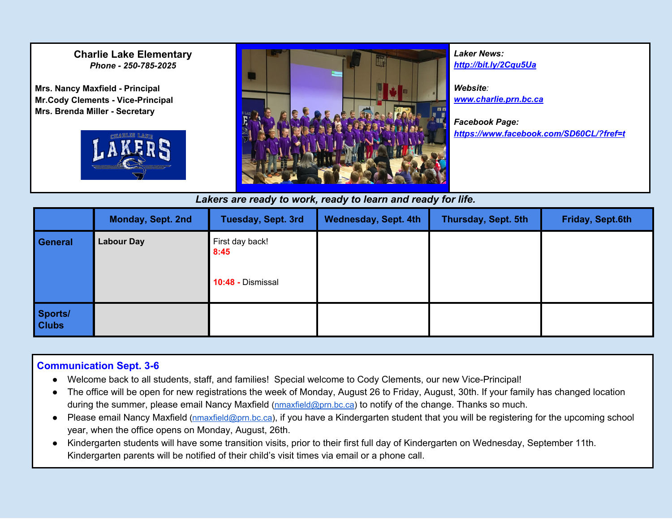#### **Charlie Lake Elementary** *Phone - 250-785-2025*

**Mrs. Nancy Maxfield - Principal Mr.Cody Clements - Vice-Principal Mrs. Brenda Miller - Secretary**





*Laker News: <http://bit.ly/2Cqu5Ua> Website: [www.charlie.prn.bc.ca](http://www.charlie.prn.bc.ca/) Facebook Page: [https://www.facebook.com/SD60CL/?fref=t](https://www.facebook.com/SD60CL/?fref=ts)*

#### *Lakers are ready to work, ready to learn and ready for life.*

|                         | Monday, Sept. 2nd | Tuesday, Sept. 3rd                           | <b>Wednesday, Sept. 4th</b> | Thursday, Sept. 5th | Friday, Sept.6th |
|-------------------------|-------------------|----------------------------------------------|-----------------------------|---------------------|------------------|
| General                 | <b>Labour Day</b> | First day back!<br>8:45<br>10:48 - Dismissal |                             |                     |                  |
| Sports/<br><b>Clubs</b> |                   |                                              |                             |                     |                  |

#### **Communication Sept. 3-6**

- Welcome back to all students, staff, and families! Special welcome to Cody Clements, our new Vice-Principal!
- The office will be open for new registrations the week of Monday, August 26 to Friday, August, 30th. If your family has changed location during the summer, please email Nancy Maxfield [\(nmaxfield@prn.bc.ca\)](mailto:nmaxfield@prn.bc.ca) to notify of the change. Thanks so much.
- Please email Nancy Maxfield [\(nmaxfield@prn.bc.ca\)](mailto:nmaxfield@prn.bc.ca), if you have a Kindergarten student that you will be registering for the upcoming school year, when the office opens on Monday, August, 26th.
- Kindergarten students will have some transition visits, prior to their first full day of Kindergarten on Wednesday, September 11th. Kindergarten parents will be notified of their child's visit times via email or a phone call.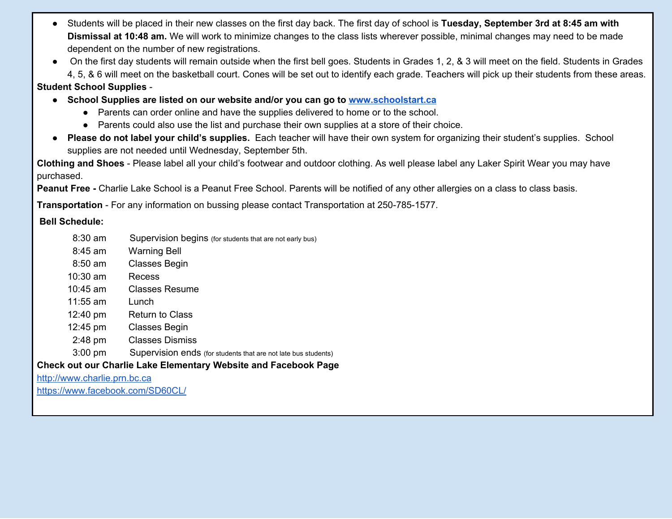- Students will be placed in their new classes on the first day back. The first day of school is **Tuesday, September 3rd at 8:45 am with Dismissal at 10:48 am.** We will work to minimize changes to the class lists wherever possible, minimal changes may need to be made dependent on the number of new registrations.
- On the first day students will remain outside when the first bell goes. Students in Grades 1, 2, & 3 will meet on the field. Students in Grades 4, 5, & 6 will meet on the basketball court. Cones will be set out to identify each grade. Teachers will pick up their students from these areas.

#### **Student School Supplies** -

- **● School Supplies are listed on our website and/or you can go to [www.schoolstart.ca](http://www.schoolstart.ca/)**
	- Parents can order online and have the supplies delivered to home or to the school.
	- Parents could also use the list and purchase their own supplies at a store of their choice.
- **Please do not label your child's supplies.** Each teacher will have their own system for organizing their student's supplies. School supplies are not needed until Wednesday, September 5th.

**Clothing and Shoes** - Please label all your child's footwear and outdoor clothing. As well please label any Laker Spirit Wear you may have purchased.

**Peanut Free -** Charlie Lake School is a Peanut Free School. Parents will be notified of any other allergies on a class to class basis.

**Transportation** - For any information on bussing please contact Transportation at 250-785-1577.

#### **Bell Schedule:**

- 8:30 am Supervision begins (for students that are not early bus)
- 8:45 am Warning Bell
- 8:50 am Classes Begin
- 10:30 am Recess
- 10:45 am Classes Resume
- 11:55 am Lunch
- 12:40 pm Return to Class
- 12:45 pm Classes Begin
- 2:48 pm Classes Dismiss
- 3:00 pm Supervision ends (for students that are not late bus students)

### **Check out our Charlie Lake Elementary Website and Facebook Page**

[http://www.charlie.prn.bc.ca](http://www.charlie.prn.bc.ca/)

<https://www.facebook.com/SD60CL/>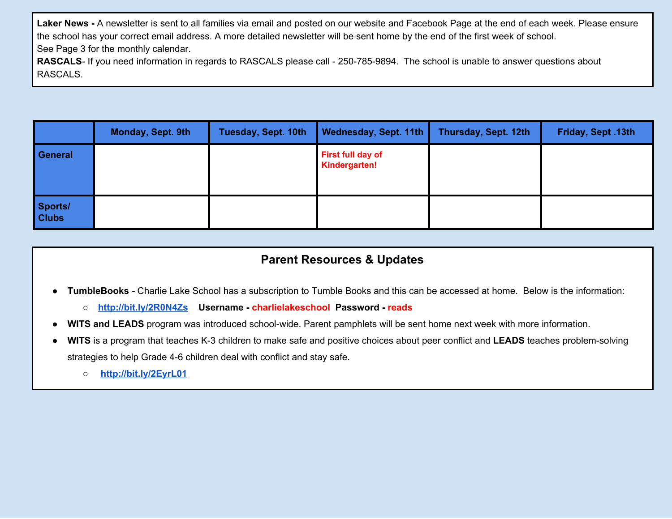**Laker News -** A newsletter is sent to all families via email and posted on our website and Facebook Page at the end of each week. Please ensure the school has your correct email address. A more detailed newsletter will be sent home by the end of the first week of school. See Page 3 for the monthly calendar.

RASCALS- If you need information in regards to RASCALS please call - 250-785-9894. The school is unable to answer questions about RASCALS.

|                         | Monday, Sept. 9th | Tuesday, Sept. 10th | Wednesday, Sept. 11th                     | Thursday, Sept. 12th | Friday, Sept. 13th |
|-------------------------|-------------------|---------------------|-------------------------------------------|----------------------|--------------------|
| General                 |                   |                     | <b>First full day of</b><br>Kindergarten! |                      |                    |
| Sports/<br><b>Clubs</b> |                   |                     |                                           |                      |                    |

## **Parent Resources & Updates**

- **TumbleBooks -** Charlie Lake School has a subscription to Tumble Books and this can be accessed at home. Below is the information:
	- **<http://bit.ly/2R0N4Zs> Username - charlielakeschool Password - reads**
- **● WITS and LEADS** program was introduced school-wide. Parent pamphlets will be sent home next week with more information.
- **● WITS** is a program that teaches K-3 children to make safe and positive choices about peer conflict and **LEADS** teaches problem-solving strategies to help Grade 4-6 children deal with conflict and stay safe.
	- **○ <http://bit.ly/2EyrL01>**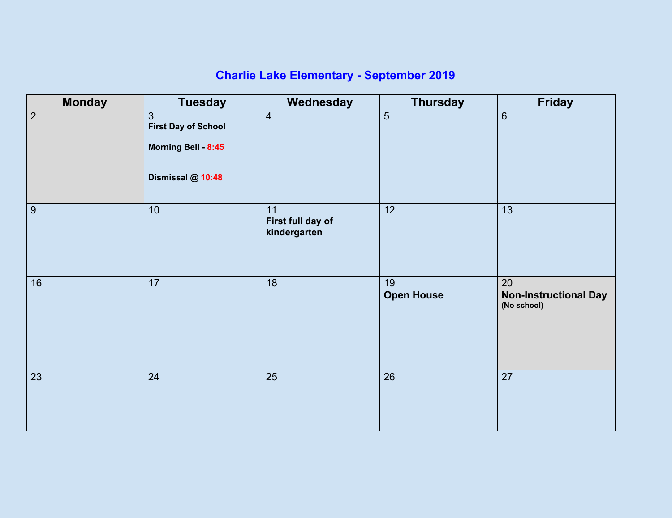# **Charlie Lake Elementary - September 2019**

| <b>Monday</b>    | <b>Tuesday</b>                                                                           | Wednesday                               | <b>Thursday</b>         | <b>Friday</b>                                     |
|------------------|------------------------------------------------------------------------------------------|-----------------------------------------|-------------------------|---------------------------------------------------|
| $\overline{2}$   | $\overline{3}$<br><b>First Day of School</b><br>Morning Bell - 8:45<br>Dismissal @ 10:48 | $\overline{4}$                          | $5\phantom{.}$          | $6\phantom{a}$                                    |
| $\boldsymbol{9}$ | 10                                                                                       | 11<br>First full day of<br>kindergarten | 12                      | 13                                                |
| 16               | 17                                                                                       | 18                                      | 19<br><b>Open House</b> | 20<br><b>Non-Instructional Day</b><br>(No school) |
| 23               | 24                                                                                       | 25                                      | 26                      | 27                                                |